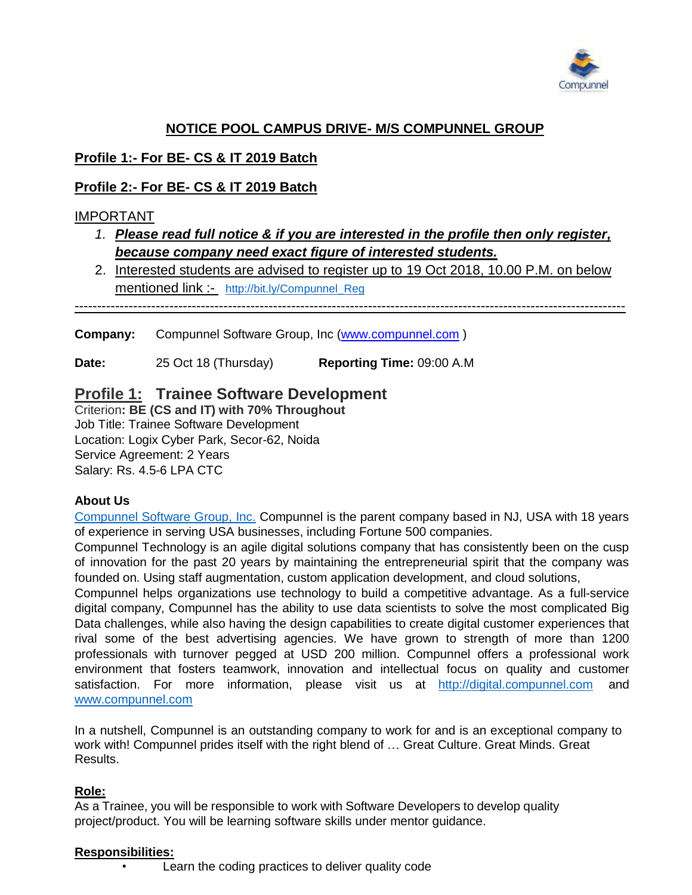

# **NOTICE POOL CAMPUS DRIVE- M/S COMPUNNEL GROUP**

## **Profile 1:- For BE- CS & IT 2019 Batch**

## **Profile 2:- For BE- CS & IT 2019 Batch**

## IMPORTANT

- *1. Please read full notice & if you are interested in the profile then only register, because company need exact figure of interested students.*
- 2. Interested students are advised to register up to 19 Oct 2018, 10.00 P.M. on below mentioned link :- [http://bit.ly/Compunnel\\_Reg](http://bit.ly/Compunnel_Reg)

--------------------------------------------------------------------------------------------------------------------------

**Company:** Compunnel Software Group, Inc [\(www.compunnel.com](http://www.compunnel.com/))

**Date:** 25 Oct 18 (Thursday) **Reporting Time:** 09:00 A.M

# **Profile 1: Trainee Software Development**

Criterion**: BE (CS and IT) with 70% Throughout** Job Title: Trainee Software Development Location: Logix Cyber Park, Secor-62, Noida Service Agreement: 2 Years Salary: Rs. 4.5-6 LPA CTC

## **About Us**

Compunnel Software Group, Inc. Compunnel is the parent company based in NJ, USA with 18 years of experience in serving USA businesses, including Fortune 500 companies.

Compunnel Technology is an agile digital solutions company that has consistently been on the cusp of innovation for the past 20 years by maintaining the entrepreneurial spirit that the company was founded on. Using staff augmentation, custom application development, and cloud solutions,

Compunnel helps organizations use technology to build a competitive advantage. As a full-service digital company, Compunnel has the ability to use data scientists to solve the most complicated Big Data challenges, while also having the design capabilities to create digital customer experiences that rival some of the best advertising agencies. We have grown to strength of more than 1200 professionals with turnover pegged at USD 200 million. Compunnel offers a professional work environment that fosters teamwork, innovation and intellectual focus on quality and customer satisfaction. For more information, please visit us at [http://digital.compunnel.com](http://digital.compunnel.com/) and [www.compunnel.com](http://www.compunnel.com/)

In a nutshell, Compunnel is an outstanding company to work for and is an exceptional company to work with! Compunnel prides itself with the right blend of … Great Culture. Great Minds. Great Results.

## **Role:**

As a Trainee, you will be responsible to work with Software Developers to develop quality project/product. You will be learning software skills under mentor guidance.

#### **Responsibilities:**

Learn the coding practices to deliver quality code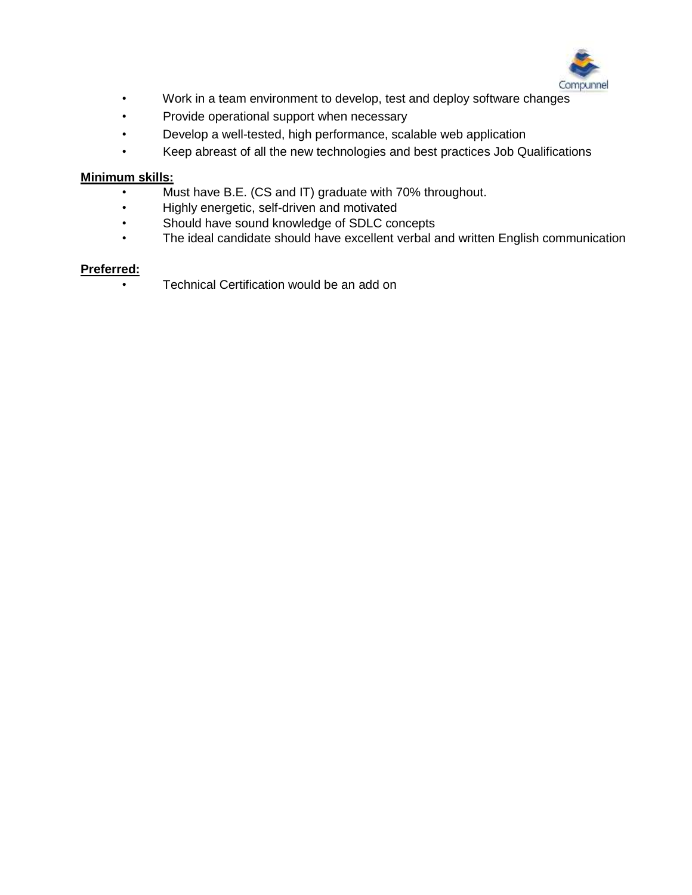

- Work in a team environment to develop, test and deploy software changes
- Provide operational support when necessary
- Develop a well-tested, high performance, scalable web application
- Keep abreast of all the new technologies and best practices Job Qualifications

#### **Minimum skills:**

- Must have B.E. (CS and IT) graduate with 70% throughout.
- Highly energetic, self-driven and motivated
- Should have sound knowledge of SDLC concepts
- The ideal candidate should have excellent verbal and written English communication

#### **Preferred:**

• Technical Certification would be an add on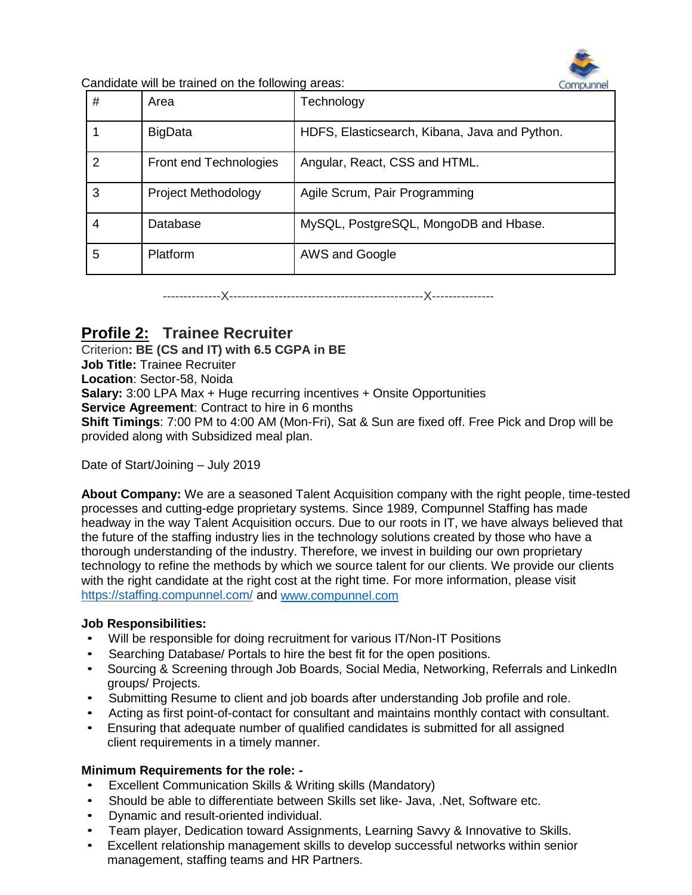

Candidate will be trained on the following areas:

| # | Area                   | Technology                                    |
|---|------------------------|-----------------------------------------------|
|   | <b>BigData</b>         | HDFS, Elasticsearch, Kibana, Java and Python. |
| 2 | Front end Technologies | Angular, React, CSS and HTML.                 |
| 3 | Project Methodology    | Agile Scrum, Pair Programming                 |
| 4 | Database               | MySQL, PostgreSQL, MongoDB and Hbase.         |
| 5 | Platform               | AWS and Google                                |

--------------X-----------------------------------------------X---------------

# **Profile 2: Trainee Recruiter**

Criterion**: BE (CS and IT) with 6.5 CGPA in BE Job Title:** Trainee Recruiter **Location**: Sector-58, Noida **Salary:** 3:00 LPA Max + Huge recurring incentives + Onsite Opportunities **Service Agreement**: Contract to hire in 6 months **Shift Timings**: 7:00 PM to 4:00 AM (Mon-Fri), Sat & Sun are fixed off. Free Pick and Drop will be provided along with Subsidized meal plan.

Date of Start/Joining – July 2019

**About Company:** We are a seasoned Talent Acquisition company with the right people, time-tested processes and cutting-edge proprietary systems. Since 1989, Compunnel Staffing has made headway in the way Talent Acquisition occurs. Due to our roots in IT, we have always believed that the future of the staffing industry lies in the technology solutions created by those who have a thorough understanding of the industry. Therefore, we invest in building our own proprietary technology to refine the methods by which we source talent for our clients. We provide our clients with the right candidate at the right cost at the right time. For more information, please visit <https://staffing.compunnel.com/> and [www.compunnel.com](http://www.compunnel.com/)

#### **Job Responsibilities:**

- Will be responsible for doing recruitment for various IT/Non-IT Positions
- Searching Database/ Portals to hire the best fit for the open positions.
- Sourcing & Screening through Job Boards, Social Media, Networking, Referrals and LinkedIn groups/ Projects.
- Submitting Resume to client and job boards after understanding Job profile and role.
- Acting as first point-of-contact for consultant and maintains monthly contact with consultant.
- Ensuring that adequate number of qualified candidates is submitted for all assigned client requirements in a timely manner.

#### **Minimum Requirements for the role: -**

- Excellent Communication Skills & Writing skills (Mandatory)
- Should be able to differentiate between Skills set like- Java, .Net, Software etc.
- Dynamic and result-oriented individual.
- Team player, Dedication toward Assignments, Learning Savvy & Innovative to Skills.
- Excellent relationship management skills to develop successful networks within senior management, staffing teams and HR Partners.